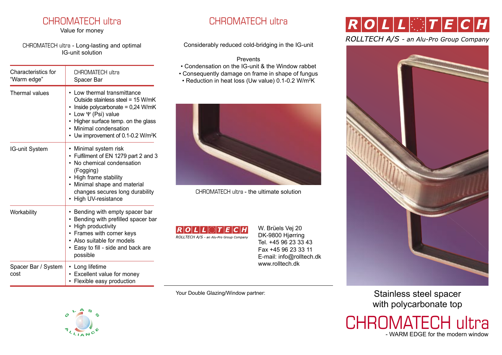### CHROMATECH ultra CHROMATECH ultra

Value for money

CHROMATECH ultra - Long-lasting and optimal IG-unit solution

| Characteristics for<br>"Warm edge" | CHROMATECH ultra<br>Spacer Bar                                                                                                                                                                                                                       |
|------------------------------------|------------------------------------------------------------------------------------------------------------------------------------------------------------------------------------------------------------------------------------------------------|
| Thermal values                     | • Low thermal transmittance<br>Outside stainless steel = 15 W/mK<br>• Inside polycarbonate = $0,24$ W/mK<br>Low $\Psi$ (Psi) value<br>Higher surface temp. on the glass<br>Minimal condensation<br>Uw improvement of 0.1-0.2 W/m <sup>2</sup> K<br>٠ |
| IG-unit System                     | • Minimal system risk<br>Fulfilment of EN 1279 part 2 and 3<br>٠<br>• No chemical condensation<br>(Fogging)<br>High frame stability<br>• Minimal shape and material<br>changes secures long durability<br>High UV-resistance                         |
| Workability                        | Bending with empty spacer bar<br>٠<br>Bending with prefilled spacer bar<br>٠<br>High productivity<br>• Frames with corner keys<br>• Also suitable for models<br>• Easy to fill - side and back are<br>possible                                       |
| Spacer Bar / System<br>cost        | Long lifetime<br>٠<br>Excellent value for money<br>٠<br>• Flexible easy production                                                                                                                                                                   |

Considerably reduced cold-bridging in the IG-unit

### Prevents

- Condensation on the IG-unit & the Window rabbet
- Consequently damage on frame in shape of fungus
- Reduction in heat loss (Uw value) 0.1-0.2 W/m2 K



CHROMATECH ultra - the ultimate solution



W. Brüels Vej 20 DK-9800 Hjørring Tel. +45 96 23 33 43 Fax +45 96 23 33 11 E-mail: info@rolltech.dk www.rolltech.dk

Your Double Glazing/Window partner:



# $R$ |  $O$   $|$   $L$   $|$   $L$   $|$   $\odot$   $|$   $T$   $|$   $E$   $|$   $C$   $|$   $H$

### ROLLTECH A/S - an Alu-Pro Group Company



Stainless steel spacer with polycarbonate top



- WARM EDGE for the modern window CHROMATECH ultra